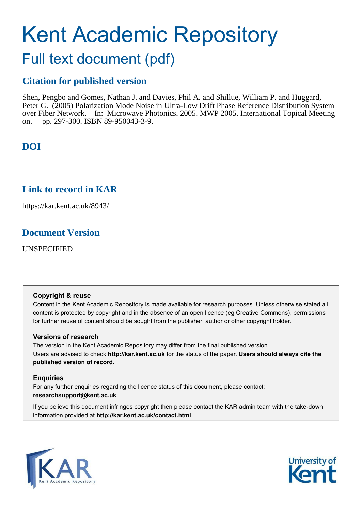# Kent Academic Repository

# Full text document (pdf)

# **Citation for published version**

Shen, Pengbo and Gomes, Nathan J. and Davies, Phil A. and Shillue, William P. and Huggard, Peter G. (2005) Polarization Mode Noise in Ultra-Low Drift Phase Reference Distribution System over Fiber Network. In: Microwave Photonics, 2005. MWP 2005. International Topical Meeting on. pp. 297-300. ISBN 89-950043-3-9.

# **DOI**

# **Link to record in KAR**

https://kar.kent.ac.uk/8943/

# **Document Version**

UNSPECIFIED

# **Copyright & reuse**

Content in the Kent Academic Repository is made available for research purposes. Unless otherwise stated all content is protected by copyright and in the absence of an open licence (eg Creative Commons), permissions for further reuse of content should be sought from the publisher, author or other copyright holder.

# **Versions of research**

The version in the Kent Academic Repository may differ from the final published version. Users are advised to check **http://kar.kent.ac.uk** for the status of the paper. **Users should always cite the published version of record.**

# **Enquiries**

For any further enquiries regarding the licence status of this document, please contact: **researchsupport@kent.ac.uk**

If you believe this document infringes copyright then please contact the KAR admin team with the take-down information provided at **http://kar.kent.ac.uk/contact.html**



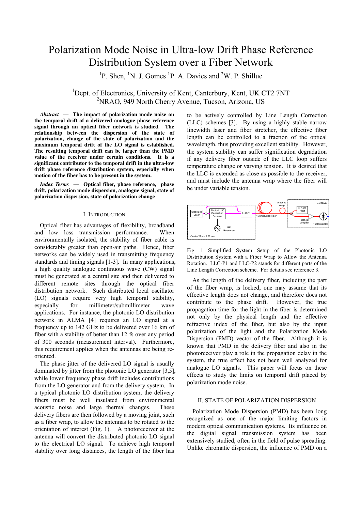# Polarization Mode Noise in Ultra-low Drift Phase Reference Distribution System over a Fiber Network

<sup>1</sup>P. Shen, <sup>1</sup>N. J. Gomes <sup>1</sup>P. A. Davies and <sup>2</sup>W. P. Shillue

## <sup>1</sup>Dept. of Electronics, University of Kent, Canterbury, Kent, UK CT2 7NT <sup>2</sup>NRAO, 949 North Cherry Avenue, Tucson, Arizona, US

*Abstract* **— The impact of polarization mode noise on the temporal drift of a delivered analogue phase reference signal through an optical fiber network is studied. The relationship between the dispersion of the state of polarization, change of the state of polarization and the maximum temporal drift of the LO signal is established. The resulting temporal drift can be larger than the PMD value of the receiver under certain conditions. It is a significant contributor to the temporal drift in the ultra-low drift phase reference distribution system, especially when motion of the fiber has to be present in the system.** 

*Index Terms* **— Optical fiber, phase reference, phase drift, polarization mode dispersion, analogue signal, state of polarization dispersion, state of polarization change**

#### I. INTRODUCTION

Optical fiber has advantages of flexibility, broadband and low loss transmission performance. When environmentally isolated, the stability of fiber cable is considerably greater than open-air paths. Hence, fiber networks can be widely used in transmitting frequency standards and timing signals [1-3]. In many applications, a high quality analogue continuous wave (CW) signal must be generated at a central site and then delivered to different remote sites through the optical fiber distribution network. Such distributed local oscillator (LO) signals require very high temporal stability, especially for millimeter/submillimeter wave applications. For instance, the photonic LO distribution network in ALMA [4] requires an LO signal at a frequency up to 142 GHz to be delivered over 16 km of fiber with a stability of better than 12 fs over any period of 300 seconds (measurement interval). Furthermore, this requirement applies when the antennas are being reoriented.

The phase jitter of the delivered LO signal is usually dominated by jitter from the photonic LO generator [3,5], while lower frequency phase drift includes contributions from the LO generator and from the delivery system. In a typical photonic LO distribution system, the delivery fibers must be well insulated from environmental acoustic noise and large thermal changes. These delivery fibers are then followed by a moving joint, such as a fiber wrap, to allow the antennas to be rotated to the orientation of interest (Fig. 1). A photoreceiver at the antenna will convert the distributed photonic LO signal to the electrical LO signal. To achieve high temporal stability over long distances, the length of the fiber has

to be actively controlled by Line Length Correction (LLC) schemes [3]. By using a highly stable narrow linewidth laser and fiber stretcher, the effective fiber length can be controlled to a fraction of the optical wavelength, thus providing excellent stability. However, the system stability can suffer signification degradation if any delivery fiber outside of the LLC loop suffers temperature change or varying tension. It is desired that the LLC is extended as close as possible to the receiver, and must include the antenna wrap where the fiber will be under variable tension.



Fig. 1 Simplified System Setup of the Photonic LO Distribution System with a Fiber Wrap to Allow the Antenna Rotation. LLC-P1 and LLC-P2 stands for different parts of the Line Length Correction scheme. For details see reference 3.

As the length of the delivery fiber, including the part of the fiber wrap, is locked, one may assume that its effective length does not change, and therefore does not contribute to the phase drift. However, the true propagation time for the light in the fiber is determined not only by the physical length and the effective refractive index of the fiber, but also by the input polarization of the light and the Polarization Mode Dispersion (PMD) vector of the fiber. Although it is known that PMD in the delivery fiber and also in the photoreceiver play a role in the propagation delay in the system, the true effect has not been well analyzed for analogue LO signals. This paper will focus on these effects to study the limits on temporal drift placed by polarization mode noise.

#### II. STATE OF POLARIZATION DISPERSION

Polarization Mode Dispersion (PMD) has been long recognized as one of the major limiting factors in modern optical communication systems. Its influence on the digital signal transmission system has been extensively studied, often in the field of pulse spreading. Unlike chromatic dispersion, the influence of PMD on a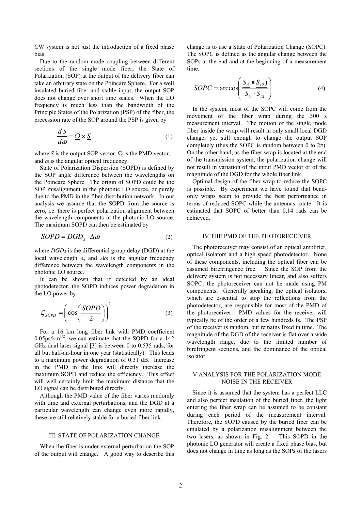CW system is not just the introduction of a fixed phase bias.

Due to the random mode coupling between different sections of the single mode fiber, the State of Polarization (SOP) at the output of the delivery fiber can take an arbitrary state on the Poincare Sphere. For a well insulated buried fiber and stable input, the output SOP does not change over short time scales. When the LO frequency is much less than the bandwidth of the Principle States of the Polarization (PSP) of the fiber, the precession rate of the SOP around the PSP is given by

$$
\frac{d\underline{S}}{d\omega} = \underline{\Omega} \times \underline{S} \tag{1}
$$

where *S* is the output SOP vector,  $\Omega$  is the PMD vector, and  $\omega$  is the angular optical frequency.

State of Polarization Dispersion (SOPD) is defined by the SOP angle difference between the wavelengths on the Poincare Sphere. The origin of SOPD could be the SOP misalignment in the photonic LO source, or purely due to the PMD in the fiber distribution network. In our analysis we assume that the SOPD from the source is zero, i.e. there is perfect polarization alignment between the wavelength components in the photonic LO source. The maximum SOPD can then be estimated by

$$
SOPD = DGD_{\lambda} \cdot \Delta \omega \tag{2}
$$

where  $DGD<sub>\lambda</sub>$  is the differential group delay (DGD) at the local wavelength  $\lambda$ , and  $\Delta\omega$  is the angular frequency difference between the wavelength components in the photonic LO source.

It can be shown that if detected by an ideal photodetector, the SOPD induces power degradation in the LO power by

$$
\zeta_{SOPD} = \left(\cos\left(\frac{SOPD}{2}\right)\right)^2\tag{3}
$$

For a 16 km long fiber link with PMD coefficient  $0.05$ ps/km<sup>1/2</sup>, we can estimate that the SOPD for a 142 GHz dual laser signal [3] is between 0 to 0.535 rads, for all but half-an-hour in one year (statistically). This leads to a maximum power degradation of 0.31 dB. Increase in the PMD in the link will directly increase the maximum SOPD and reduce the efficiency. This effect will well certainly limit the maximum distance that the LO signal can be distributed directly.

Although the PMD value of the fiber varies randomly with time and external perturbations, and the DGD at a particular wavelength can change even more rapidly, these are still relatively stable for a buried fiber link.

## III. STATE OF POLARIZATION CHANGE

When the fiber is under external perturbation the SOP of the output will change. A good way to describe this change is to use a State of Polarization Change (SOPC). The SOPC is defined as the angular change between the SOPs at the end and at the beginning of a measurement time.

$$
SOPC = \arccos\left(\frac{S_{t1} \bullet S_{t2}}{S_{t1} \cdot S_{t2}}\right)
$$
 (4)

In the system, most of the SOPC will come from the movement of the fiber wrap during the 300 s measurement interval. The motion of the single mode fiber inside the wrap will result in only small local DGD change, yet still enough to change the output SOP completely (thus the SOPC is random between 0 to  $2\pi$ ). On the other hand, as the fiber wrap is located at the end of the transmission system, the polarization change will not result in variation of the input PMD vector or of the magnitude of the DGD for the whole fiber link.

Optimal design of the fiber wrap to reduce the SOPC is possible. By experiment we have found that bendonly wraps seem to provide the best performance in terms of reduced SOPC while the antennas rotate. It is estimated that SOPC of better than 0.14 rads can be achieved.

### IV THE PMD OF THE PHOTORECEIVER

The photoreceiver may consist of an optical amplifier, optical isolators and a high speed photodetector. None of these components, including the optical fiber can be assumed birefringence free. Since the SOP from the delivery system is not necessary linear, and also suffers SOPC, the photoreceiver can not be made using PM components. Generally speaking, the optical isolators, which are essential to stop the reflections from the photodetector, are responsible for most of the PMD of the photoreceiver. PMD values for the receiver will typically be of the order of a few hundreds fs. The PSP of the receiver is random, but remains fixed in time. The magnitude of the DGD of the receiver is flat over a wide wavelength range, due to the limited number of birefringent sections, and the dominance of the optical isolator.

## V ANALYSIS FOR THE POLARIZATION MODE NOISE IN THE RECEIVER

Since it is assumed that the system has a perfect LLC and also perfect insulation of the buried fiber, the light entering the fiber wrap can be assumed to be constant during each period of the measurement interval. Therefore, the SOPD caused by the buried fiber can be emulated by a polarization misalignment between the two lasers, as shown in Fig. 2. This SOPD in the photonic LO generator will create a fixed phase bias, but does not change in time as long as the SOPs of the lasers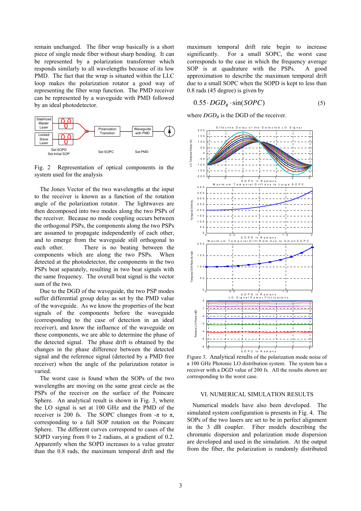remain unchanged. The fiber wrap basically is a short piece of single mode fiber without sharp bending. It can be represented by a polarization transformer which responds similarly to all wavelengths because of its low PMD. The fact that the wrap is situated within the LLC loop makes the polarization rotator a good way of representing the fiber wrap function. The PMD receiver can be represented by a waveguide with PMD followed by an ideal photodetector.



Fig. 2 Representation of optical components in the system used for the analysis

The Jones Vector of the two wavelengths at the input to the receiver is known as a function of the rotation angle of the polarization rotator. The lightwaves are then decomposed into two modes along the two PSPs of the receiver. Because no mode coupling occurs between the orthogonal PSPs, the components along the two PSPs are assumed to propagate independently of each other, and to emerge from the waveguide still orthogonal to each other. There is no beating between the components which are along the two PSPs. When detected at the photodetector, the components in the two PSPs beat separately, resulting in two beat signals with the same frequency. The overall beat signal is the vector sum of the two.

Due to the DGD of the waveguide, the two PSP modes suffer differential group delay as set by the PMD value of the waveguide. As we know the properties of the beat signals of the components before the waveguide (corresponding to the case of detection in an ideal receiver), and know the influence of the waveguide on these components, we are able to determine the phase of the detected signal. The phase drift is obtained by the changes in the phase difference between the detected signal and the reference signal (detected by a PMD free receiver) when the angle of the polarization rotator is varied.

The worst case is found when the SOPs of the two wavelengths are moving on the same great circle as the PSPs of the receiver on the surface of the Poincare Sphere. An analytical result is shown in Fig. 3, where the LO signal is set at 100 GHz and the PMD of the receiver is 200 fs. The SOPC changes from  $-\pi$  to  $\pi$ , corresponding to a full SOP rotation on the Poincare Sphere. The different curves correspond to cases of the SOPD varying from 0 to 2 radians, at a gradient of 0.2. Apparently when the SOPD increases to a value greater than the 0.8 rads, the maximum temporal drift and the

maximum temporal drift rate begin to increase significantly. For a small SOPC, the worst case corresponds to the case in which the frequency average SOP is at quadrature with the PSPs. A good approximation to describe the maximum temporal drift due to a small SOPC when the SOPD is kept to less than 0.8 rads (45 degree) is given by

$$
0.55 \cdot DGD_R \cdot \sin(SOPC) \tag{5}
$$

where  $DGD_R$  is the DGD of the receiver.



Figure 3. Analytical results of the polarization mode noise of a 100 GHz Photonic LO distribution system. The system has a receiver with a DGD value of 200 fs. All the results shown are corresponding to the worst case.

## VI. NUMERICAL SIMULATION RESULTS

Numerical models have also been developed. The simulated system configuration is presents in Fig. 4. The SOPs of the two lasers are set to be in perfect alignment in the 3 dB coupler. Fiber models describing the chromatic dispersion and polarization mode dispersion are developed and used in the simulation. At the output from the fiber, the polarization is randomly distributed